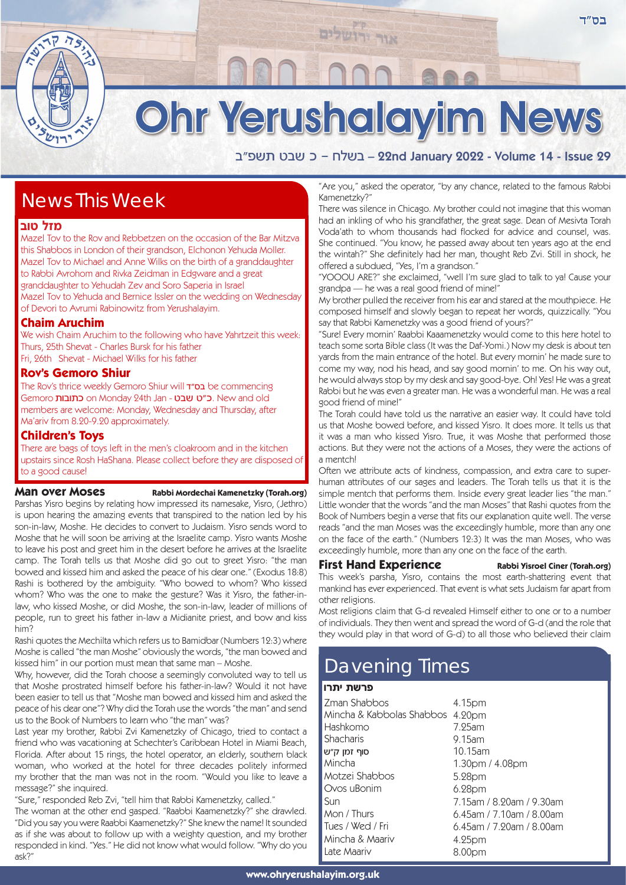# Ohr Yerushalayim News

אור יר

a"tyz hay k - glya – 22nd January 2022 - Volume 14 - Issue 29

## News This Week

#### **מזל טוב**

Mazel Tov to the Rov and Rebbetzen on the occasion of the Bar Mitzva this Shabbos in London of their grandson, Elchonon Yehuda Moller. Mazel Tov to Michael and Anne Wilks on the birth of a granddaughter to Rabbi Avrohom and Rivka Zeidman in Edgware and a great granddaughter to Yehudah Zev and Soro Saperia in Israel Mazel Tov to Yehuda and Bernice Issler on the wedding on Wednesday of Devori to Avrumi Rabinowitz from Yerushalayim.

## **Chaim Aruchim**

We wish Chaim Aruchim to the following who have Yahrtzeit this week: Thurs, 25th Shevat - Charles Bursk for his father Fri, 26th Shevat - Michael Wilks for his father

#### **Rov's Gemoro Shiur**

The Rov's thrice weekly Gemoro Shiur will **מש"ד** be commencing Gemoro כתובות on Monday 24th Jan - כ"ט שבט. New and old members are welcome: Monday, Wednesday and Thursday, after Ma'ariv from 8.20-9.20 approximately.

#### **Children's Toys**

There are bags of toys left in the men's cloakroom and in the kitchen upstairs since Rosh HaShana. Please collect before they are disposed of to a good cause!

#### **Man over Moses** Rabbi Mordechai Kamenetzky (Torah.org)

Parshas Yisro begins by relating how impressed its namesake, Yisro, (Jethro) is upon hearing the amazing events that transpired to the nation led by his son-in-law, Moshe. He decides to convert to Judaism. Yisro sends word to Moshe that he will soon be arriving at the Israelite camp. Yisro wants Moshe to leave his post and greet him in the desert before he arrives at the Israelite camp. The Torah tells us that Moshe did go out to greet Yisro: "the man bowed and kissed him and asked the peace of his dear one." (Exodus 18:8) Rashi is bothered by the ambiguity. "Who bowed to whom? Who kissed whom? Who was the one to make the gesture? Was it Yisro, the father-inlaw, who kissed Moshe, or did Moshe, the son-in-law, leader of millions of people, run to greet his father in-law a Midianite priest, and bow and kiss him?

Rashi quotes the Mechilta which refers us to Bamidbar (Numbers 12:3) where Moshe is called "the man Moshe" obviously the words, "the man bowed and kissed him" in our portion must mean that same man – Moshe.

Why, however, did the Torah choose a seemingly convoluted way to tell us that Moshe prostrated himself before his father-in-law? Would it not have been easier to tell us that "Moshe man bowed and kissed him and asked the peace of his dear one"? Why did the Torah use the words "the man" and send us to the Book of Numbers to learn who "the man" was?

Last year my brother, Rabbi Zvi Kamenetzky of Chicago, tried to contact a friend who was vacationing at Schechter's Caribbean Hotel in Miami Beach, Florida. After about 15 rings, the hotel operator, an elderly, southern black woman, who worked at the hotel for three decades politely informed my brother that the man was not in the room. "Would you like to leave a message?" she inquired.

"Sure," responded Reb Zvi, "tell him that Rabbi Kamenetzky, called."

The woman at the other end gasped. "Raabbi Kaamenetzky?" she drawled. "Did you say you were Raabbi Kaamenetzky?" She knew the name! It sounded as if she was about to follow up with a weighty question, and my brother responded in kind. "Yes." He did not know what would follow. "Why do you ask?"

"Are you," asked the operator, "by any chance, related to the famous Rabbi Kamenetzky?"

There was silence in Chicago. My brother could not imagine that this woman had an inkling of who his grandfather, the great sage. Dean of Mesivta Torah Voda'ath to whom thousands had flocked for advice and counsel, was. She continued. "You know, he passed away about ten years ago at the end the wintah?" She definitely had her man, thought Reb Zvi. Still in shock, he offered a subdued, "Yes, I'm a grandson."

"YOOOU ARE?" she exclaimed, "well I'm sure glad to talk to ya! Cause your grandpa — he was a real good friend of mine!"

My brother pulled the receiver from his ear and stared at the mouthpiece. He composed himself and slowly began to repeat her words, quizzically. "You say that Rabbi Kamenetzky was a good friend of yours?"

"Sure! Every mornin' Raabbi Kaaamenetzky would come to this here hotel to teach some sorta Bible class (It was the Daf-Yomi.) Now my desk is about ten yards from the main entrance of the hotel. But every mornin' he made sure to come my way, nod his head, and say good mornin' to me. On his way out, he would always stop by my desk and say good-bye. Oh! Yes! He was a great Rabbi but he was even a greater man. He was a wonderful man. He was a real good friend of mine!"

The Torah could have told us the narrative an easier way. It could have told us that Moshe bowed before, and kissed Yisro. It does more. It tells us that it was a man who kissed Yisro. True, it was Moshe that performed those actions. But they were not the actions of a Moses, they were the actions of a mentch!

Often we attribute acts of kindness, compassion, and extra care to superhuman attributes of our sages and leaders. The Torah tells us that it is the simple mentch that performs them. Inside every great leader lies "the man." Little wonder that the words "and the man Moses" that Rashi quotes from the Book of Numbers begin a verse that fits our explanation quite well. The verse reads "and the man Moses was the exceedingly humble, more than any one on the face of the earth." (Numbers 12:3) It was the man Moses, who was exceedingly humble, more than any one on the face of the earth.

## **First Hand Experience** Rabbi Yisroel Ciner (Torah.org)

This week's parsha, Yisro, contains the most earth-shattering event that mankind has ever experienced. That event is what sets Judaism far apart from other religions.

Most religions claim that G-d revealed Himself either to one or to a number of individuals. They then went and spread the word of G-d (and the role that they would play in that word of G-d) to all those who believed their claim

# Davening Times

#### פרשת יתרו

| Zman Shabbos<br>Mincha & Kabbolas Shabbos<br>Hashkomo<br>Shacharis | 4.15pm<br>4.20pm<br>$7.25$ am<br>9.15am |
|--------------------------------------------------------------------|-----------------------------------------|
| סוף זמו ק״ש                                                        | 10.15am                                 |
| Mincha                                                             | 1.30pm / 4.08pm                         |
| Motzei Shabbos                                                     | 5.28pm                                  |
| Ovos uBonim                                                        | 6.28pm                                  |
| Sun                                                                | 7.15am / 8.20am / 9.30am                |
| Mon / Thurs                                                        | $6.45$ am / 7.10am / 8.00am             |
| Tues / Wed / Fri                                                   | $6.45$ am / 7.20am / 8.00am             |
| Mincha & Maariv                                                    | 4.25pm                                  |
| Late Maariv                                                        | 8.00pm                                  |